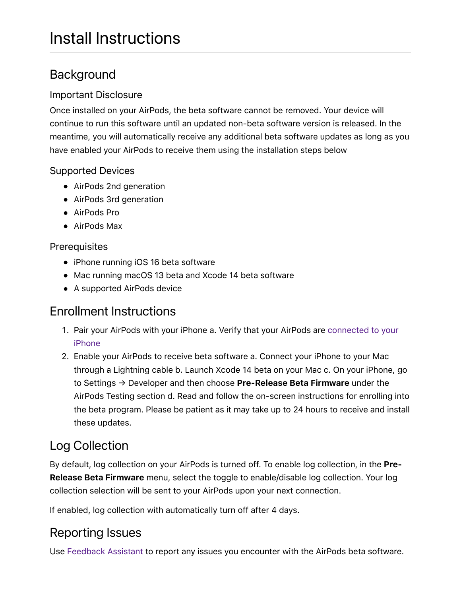## **Background**

### Important Disclosure

Once installed on your AirPods, the beta software cannot be removed. Your device will continue to run this software until an updated non-beta software version is released. In the meantime, you will automatically receive any additional beta software updates as long as you have enabled your AirPods to receive them using the installation steps below

### Supported Devices

- AirPods 2nd generation
- AirPods 3rd generation
- AirPods Pro
- AirPods Max

### **Prerequisites**

- iPhone running iOS 16 beta software
- Mac running macOS 13 beta and Xcode 14 beta software
- A supported AirPods device

### Enrollment Instructions

- 1. [Pair your AirPods with your iPhone a. Verify that your AirPods are connected to your](https://support.apple.com/en-us/HT207010) iPhone
- 2. Enable your AirPods to receive beta software a. Connect your iPhone to your Mac through a Lightning cable b. Launch Xcode 14 beta on your Mac c. On your iPhone, go to Settings  $\rightarrow$  Developer and then choose **Pre-Release Beta Firmware** under the AirPods Testing section d. Read and follow the on-screen instructions for enrolling into the beta program. Please be patient as it may take up to 24 hours to receive and install these updates.

# Log Collection

By default, log collection on your AirPods is turned off. To enable log collection, in the **Pre-Release Beta Firmware** menu, select the toggle to enable/disable log collection. Your log collection selection will be sent to your AirPods upon your next connection.

If enabled, log collection with automatically turn off after 4 days.

### Reporting Issues

Use [Feedback Assistant](https://developer.apple.com/bug-reporting/) to report any issues you encounter with the AirPods beta software.